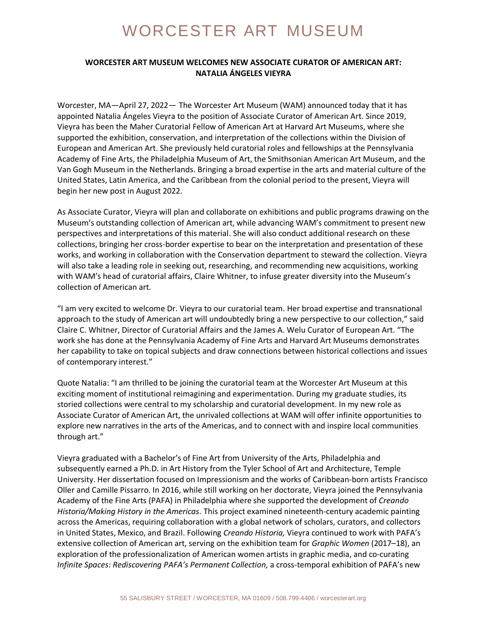## WORCESTER ART MUSEUM

## **WORCESTER ART MUSEUM WELCOMES NEW ASSOCIATE CURATOR OF AMERICAN ART: NATALIA ÁNGELES VIEYRA**

Worcester, MA—April 27, 2022— The Worcester Art Museum (WAM) announced today that it has appointed Natalia Ángeles Vieyra to the position of Associate Curator of American Art. Since 2019, Vieyra has been the Maher Curatorial Fellow of American Art at Harvard Art Museums, where she supported the exhibition, conservation, and interpretation of the collections within the Division of European and American Art. She previously held curatorial roles and fellowships at the Pennsylvania Academy of Fine Arts, the Philadelphia Museum of Art, the Smithsonian American Art Museum, and the Van Gogh Museum in the Netherlands. Bringing a broad expertise in the arts and material culture of the United States, Latin America, and the Caribbean from the colonial period to the present, Vieyra will begin her new post in August 2022.

As Associate Curator, Vieyra will plan and collaborate on exhibitions and public programs drawing on the Museum's outstanding collection of American art, while advancing WAM's commitment to present new perspectives and interpretations of this material. She will also conduct additional research on these collections, bringing her cross-border expertise to bear on the interpretation and presentation of these works, and working in collaboration with the Conservation department to steward the collection. Vieyra will also take a leading role in seeking out, researching, and recommending new acquisitions, working with WAM's head of curatorial affairs, Claire Whitner, to infuse greater diversity into the Museum's collection of American art.

"I am very excited to welcome Dr. Vieyra to our curatorial team. Her broad expertise and transnational approach to the study of American art will undoubtedly bring a new perspective to our collection," said Claire C. Whitner, Director of Curatorial Affairs and the James A. Welu Curator of European Art. "The work she has done at the Pennsylvania Academy of Fine Arts and Harvard Art Museums demonstrates her capability to take on topical subjects and draw connections between historical collections and issues of contemporary interest."

Quote Natalia: "I am thrilled to be joining the curatorial team at the Worcester Art Museum at this exciting moment of institutional reimagining and experimentation. During my graduate studies, its storied collections were central to my scholarship and curatorial development. In my new role as Associate Curator of American Art, the unrivaled collections at WAM will offer infinite opportunities to explore new narratives in the arts of the Americas, and to connect with and inspire local communities through art."

Vieyra graduated with a Bachelor's of Fine Art from University of the Arts, Philadelphia and subsequently earned a Ph.D. in Art History from the Tyler School of Art and Architecture, Temple University. Her dissertation focused on Impressionism and the works of Caribbean-born artists Francisco Oller and Camille Pissarro. In 2016, while still working on her doctorate, Vieyra joined the Pennsylvania Academy of the Fine Arts (PAFA) in Philadelphia where she supported the development of *Creando Historia/Making History in the Americas.* This project examined nineteenth-century academic painting across the Americas, requiring collaboration with a global network of scholars, curators, and collectors in United States, Mexico, and Brazil. Following *Creando Historia,* Vieyra continued to work with PAFA's extensive collection of American art, serving on the exhibition team for *Graphic Women* (2017–18), an exploration of the professionalization of American women artists in graphic media, and co-curating *Infinite Spaces: Rediscovering PAFA's Permanent Collection,* a cross-temporal exhibition of PAFA's new